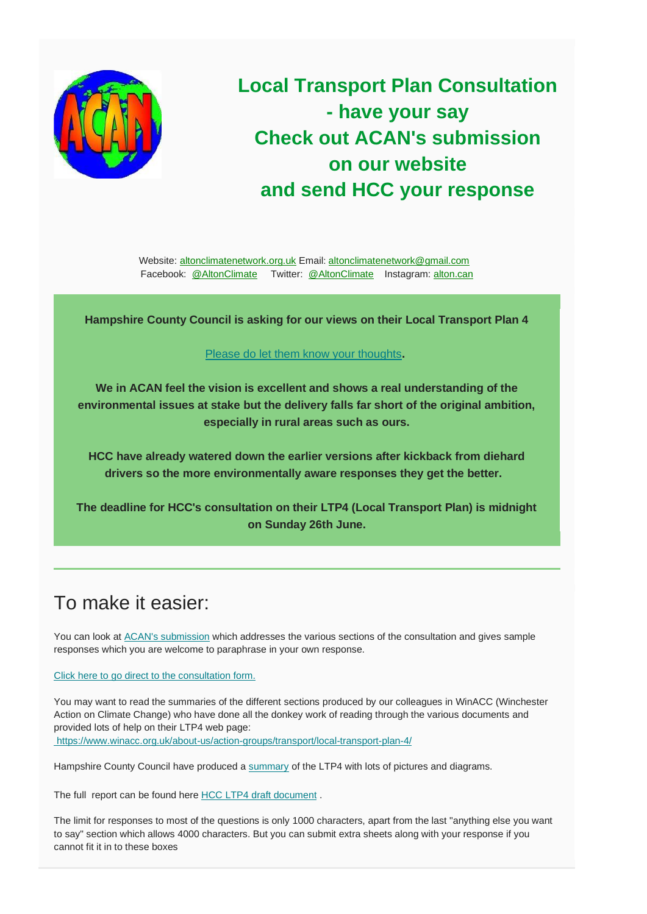

**Local Transport Plan Consultation - have your say Check out ACAN's submission on our website and send HCC your response**

Website: [altonclimatenetwork.org.uk](https://altonclimatenetwork.org.uk/) Email: [altonclimatenetwork@gmail.com](mailto:altonclimatenetwork@gmail.com) Facebook: [@AltonClimate](https://www.facebook.com/AltonClimate/) Twitter: [@AltonClimate](https://twitter.com/AltonClimate) Instagram: [alton.can](https://www.instagram.com/alton.can/)

**Hampshire County Council is asking for our views on their Local Transport Plan 4**

## [Please do let them know your thoughts](https://online1.snapsurveys.com/interview/60c94eef-0477-494f-a203-08e42824feeb)**.**

**We in ACAN feel the vision is excellent and shows a real understanding of the environmental issues at stake but the delivery falls far short of the original ambition, especially in rural areas such as ours.**

**HCC have already watered down the earlier versions after kickback from diehard drivers so the more environmentally aware responses they get the better.** 

**The deadline for HCC's consultation on their LTP4 (Local Transport Plan) is midnight on Sunday 26th June.**

## To make it easier:

You can look at [ACAN's submission](https://altonclimatenetwork.org.uk/wp-content/uploads/sites/4/ACAN-response-to-the-HCC-LTP4-Consultation.pdf) which addresses the various sections of the consultation and gives sample responses which you are welcome to paraphrase in your own response.

[Click here to go direct to the consultation form.](https://online1.snapsurveys.com/interview/60c94eef-0477-494f-a203-08e42824feeb)

You may want to read the summaries of the different sections produced by our colleagues in WinACC (Winchester Action on Climate Change) who have done all the donkey work of reading through the various documents and provided lots of help on their LTP4 web page: <https://www.winacc.org.uk/about-us/action-groups/transport/local-transport-plan-4/>

Hampshire County Council have produced a [summary](https://documents.hants.gov.uk/transport/Short-form-HCC-LTP4-summary.pdf) of the LTP4 with lots of pictures and diagrams.

The full report can be found here HCC [LTP4 draft document](https://documents.hants.gov.uk/transport/Hampshire-LTP-Final.pdf) .

The limit for responses to most of the questions is only 1000 characters, apart from the last "anything else you want to say" section which allows 4000 characters. But you can submit extra sheets along with your response if you cannot fit it in to these boxes